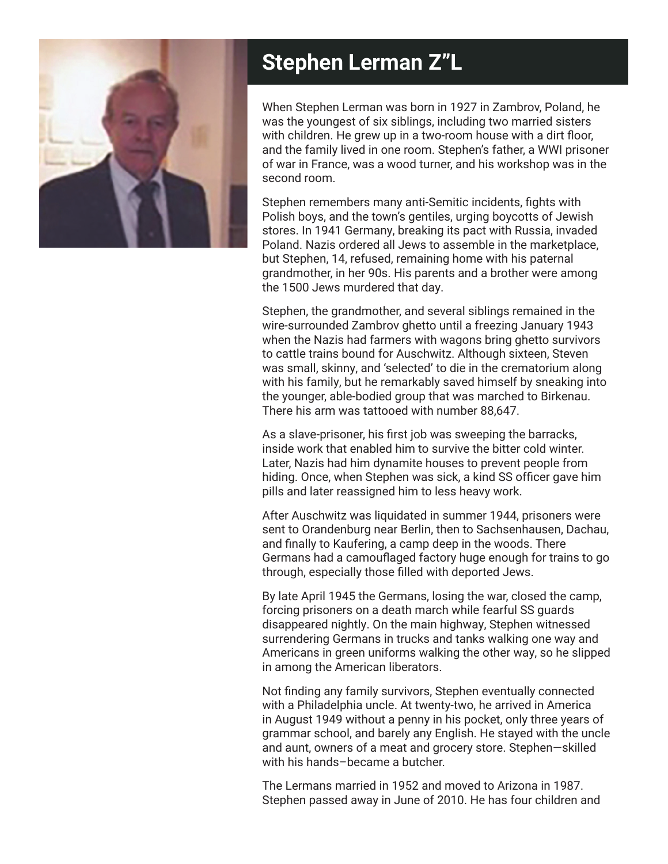

## **Stephen Lerman Z"L**

When Stephen Lerman was born in 1927 in Zambrov, Poland, he was the youngest of six siblings, including two married sisters with children. He grew up in a two-room house with a dirt floor, and the family lived in one room. Stephen's father, a WWI prisoner of war in France, was a wood turner, and his workshop was in the second room.

Stephen remembers many anti-Semitic incidents, fights with Polish boys, and the town's gentiles, urging boycotts of Jewish stores. In 1941 Germany, breaking its pact with Russia, invaded Poland. Nazis ordered all Jews to assemble in the marketplace, but Stephen, 14, refused, remaining home with his paternal grandmother, in her 90s. His parents and a brother were among the 1500 Jews murdered that day.

Stephen, the grandmother, and several siblings remained in the wire-surrounded Zambrov ghetto until a freezing January 1943 when the Nazis had farmers with wagons bring ghetto survivors to cattle trains bound for Auschwitz. Although sixteen, Steven was small, skinny, and 'selected' to die in the crematorium along with his family, but he remarkably saved himself by sneaking into the younger, able-bodied group that was marched to Birkenau. There his arm was tattooed with number 88,647.

As a slave-prisoner, his first job was sweeping the barracks, inside work that enabled him to survive the bitter cold winter. Later, Nazis had him dynamite houses to prevent people from hiding. Once, when Stephen was sick, a kind SS officer gave him pills and later reassigned him to less heavy work.

After Auschwitz was liquidated in summer 1944, prisoners were sent to Orandenburg near Berlin, then to Sachsenhausen, Dachau, and finally to Kaufering, a camp deep in the woods. There Germans had a camouflaged factory huge enough for trains to go through, especially those filled with deported Jews.

By late April 1945 the Germans, losing the war, closed the camp, forcing prisoners on a death march while fearful SS guards disappeared nightly. On the main highway, Stephen witnessed surrendering Germans in trucks and tanks walking one way and Americans in green uniforms walking the other way, so he slipped in among the American liberators.

Not finding any family survivors, Stephen eventually connected with a Philadelphia uncle. At twenty-two, he arrived in America in August 1949 without a penny in his pocket, only three years of grammar school, and barely any English. He stayed with the uncle and aunt, owners of a meat and grocery store. Stephen—skilled with his hands–became a butcher.

The Lermans married in 1952 and moved to Arizona in 1987. Stephen passed away in June of 2010. He has four children and